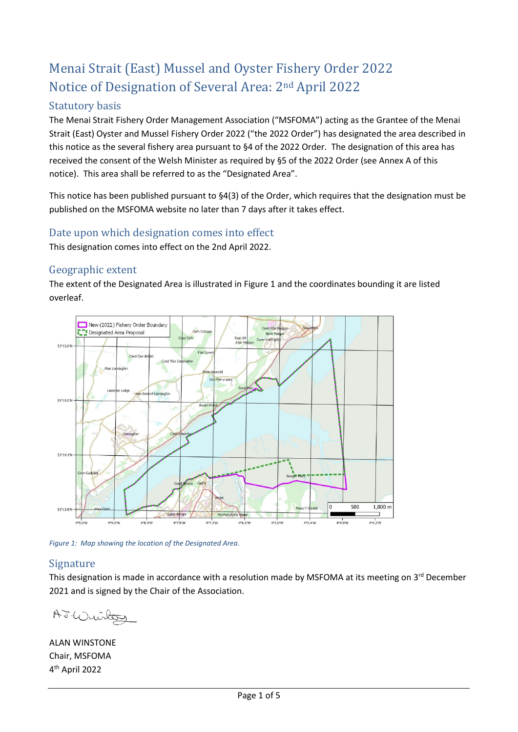# Menai Strait (East) Mussel and Oyster Fishery Order 2022 Notice of Designation of Several Area: 2nd April 2022

## Statutory basis

The Menai Strait Fishery Order Management Association ("MSFOMA") acting as the Grantee of the Menai Strait (East) Oyster and Mussel Fishery Order 2022 ("the 2022 Order") has designated the area described in this notice as the several fishery area pursuant to §4 of the 2022 Order. The designation of this area has received the consent of the Welsh Minister as required by §5 of the 2022 Order (see Annex A of this notice). This area shall be referred to as the "Designated Area".

This notice has been published pursuant to §4(3) of the Order, which requires that the designation must be published on the MSFOMA website no later than 7 days after it takes effect.

### Date upon which designation comes into effect

This designation comes into effect on the 2nd April 2022.

### Geographic extent

The extent of the Designated Area is illustrated i[n Figure 1](#page-0-0) and the coordinates bounding it are listed overleaf.



<span id="page-0-0"></span>*Figure 1: Map showing the location of the Designated Area.*

#### Signature

This designation is made in accordance with a resolution made by MSFOMA at its meeting on  $3^{rd}$  December 2021 and is signed by the Chair of the Association.

A.J. Wuiter

ALAN WINSTONE Chair, MSFOMA 4 th April 2022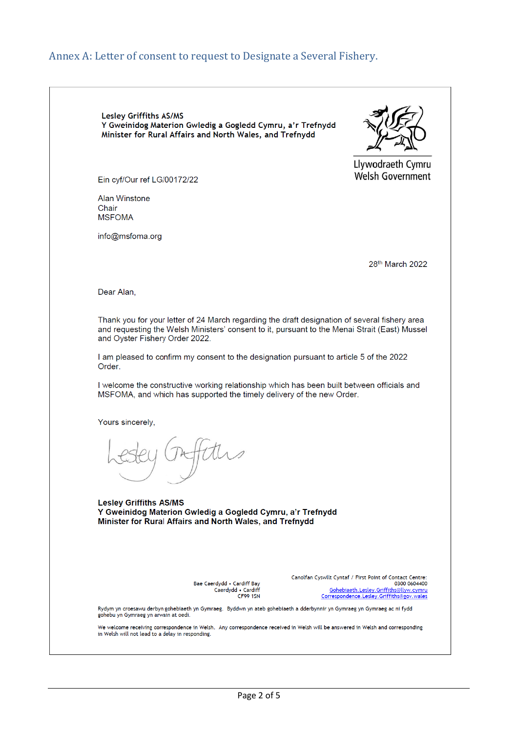### Annex A: Letter of consent to request to Designate a Several Fishery.

Lesley Griffiths AS/MS Y Gweinidog Materion Gwledig a Gogledd Cymru, a'r Trefnydd Minister for Rural Affairs and North Wales, and Trefnydd



Llywodraeth Cymru **Welsh Government** 

Ein cyf/Our ref LG/00172/22

Alan Winstone Chair **MSFOMA** 

info@msfoma.org

28th March 2022

Dear Alan,

Thank you for your letter of 24 March regarding the draft designation of several fishery area and requesting the Welsh Ministers' consent to it, pursuant to the Menai Strait (East) Mussel and Oyster Fishery Order 2022.

I am pleased to confirm my consent to the designation pursuant to article 5 of the 2022 Order.

I welcome the constructive working relationship which has been built between officials and MSFOMA, and which has supported the timely delivery of the new Order.

Yours sincerely,

**Lesley Griffiths AS/MS** Y Gweinidog Materion Gwledig a Gogledd Cymru, a'r Trefnydd Minister for Rural Affairs and North Wales, and Trefnydd

> Bae Caerdydd • Cardiff Bay Caerdydd • Cardiff<br>Caerdydd • Cardiff

Canolfan Cyswllt Cyntaf / First Point of Contact Centre: 0300 0604400 Gohebiaeth.Lesley.Griffiths@llyw.cymru Correspondence.Lesley.Griffiths@gov.wales

Rydym yn croesawu derbyn gohebiaeth yn Gymraeg. Byddwn yn ateb gohebiaeth a dderbynnir yn Gymraeg yn Gymraeg ac ni fydd<br>gohebu yn Gymraeg yn arwain at oedi.

We welcome receiving correspondence in Welsh. Any correspondence received in Welsh will be answered in Welsh and corresponding in Welsh will not lead to a delay in responding.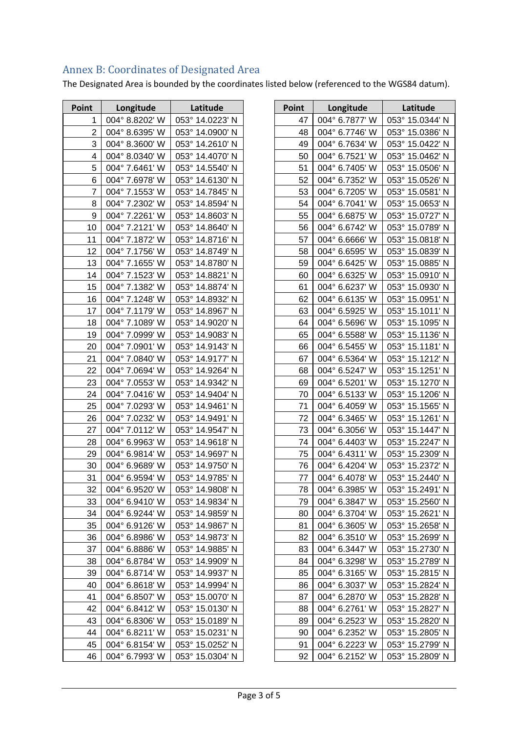## Page 3 of 5

| Point           | Longitude                        | Latitude                           |
|-----------------|----------------------------------|------------------------------------|
| 1               | 004° 8.8202' W                   | 053° 14.0223' N                    |
| 2               | 004° 8.6395' W                   | 053° 14.0900' N                    |
| 3               | 004° 8.3600' W                   | 053° 14.2610' N                    |
| 4               | 004° 8.0340' W                   | 053° 14.4070' N                    |
| 5               | 004° 7.6461' W                   | 053° 14.5540' N                    |
| 6               | 004° 7.6978' W                   | 053° 14.6130' N                    |
| 7               | 004° 7.1553' W                   | 053° 14.7845' N                    |
| 8               | 004° 7.2302' W                   | 053° 14.8594' N                    |
| 9               | 004° 7.2261' W                   | 053° 14.8603' N                    |
| 10              | 004° 7.2121' W                   | 053° 14.8640' N                    |
| 11              | 004° 7.1872' W                   | 053° 14.8716' N                    |
| 12 <sub>2</sub> | 004° 7.1756' W                   | 053° 14.8749′ N                    |
| 13              | 004° 7.1655' W                   | 053° 14.8780' N                    |
| 14              | 004° 7.1523' W                   | 053° 14.8821' N                    |
| 15              | 004° 7.1382' W                   | 053° 14.8874' N                    |
| 16              | 004° 7.1248' W                   | 053° 14.8932' N                    |
| 17              | 004° 7.1179' W                   | 053° 14.8967' N                    |
| 18              | 004° 7.1089' W                   | 053° 14.9020' N                    |
| 19              | 004° 7.0999' W                   | 053° 14.9083′ N                    |
| 20              | 004° 7.0901' W                   | 053° 14.9143' N                    |
| 21              | 004° 7.0840' W                   | 053° 14.9177' N                    |
| 22              | 004° 7.0694' W<br>004° 7.0553' W | 053° 14.9264' N<br>053° 14.9342' N |
| 23<br>24        | 004° 7.0416' W                   | 053° 14.9404' N                    |
| 25              | 004° 7.0293' W                   | 053° 14.9461' N                    |
| 26              | 004° 7.0232' W                   | 053° 14.9491' N                    |
| 27              | 004° 7.0112' W                   | 053° 14.9547' N                    |
| 28              | 004° 6.9963' W                   | $053^{\circ}$ 14.9618' N           |
| 29              | 004° 6.9814' W                   | 053° 14.9697' N                    |
| 30              | 004° 6.9689' W                   | 053° 14.9750' N                    |
| 31              | 004° 6.9594' W                   | 053° 14.9785' N                    |
| 32              | 004° 6.9520' W                   | 053° 14.9808' N                    |
| 33              | $004^{\circ}$ 6.9410' W          | 053° 14.9834' N                    |
| 34              | 004° 6.9244' W                   | 053° 14.9859' N                    |
| 35              | 004° 6.9126' W                   | 053° 14.9867' N                    |
| 36              | 004° 6.8986' W                   | 053° 14.9873' N                    |
| 37              | 004° 6.8886' W                   | 053° 14.9885' N                    |
| 38              | 004° 6.8784' W                   | 053° 14.9909' N                    |
| 39              | 004° 6.8714' W                   | 053° 14.9937' N                    |
| 40              | $004^{\circ}$ 6.8618' W          | 053° 14.9994' N                    |
| 41              | 004° 6.8507' W                   | 053° 15.0070' N                    |
| 42              | 004° 6.8412' W                   | 053° 15.0130' N                    |
| 43              | 004° 6.8306' W                   | 053° 15.0189' N                    |
| 44              | 004° 6.8211' W                   | 053° 15.0231' N                    |
| 45              | 004° 6.8154' W                   | 053° 15.0252' N                    |
| 46              | 004° 6.7993' W                   | 053° 15.0304' N                    |

Annex B: Coordinates of Designated Area

The Designated Area is bounded by the coordinates listed below (referenced to the WGS84 datum).

| Point | Longitude      | Latitude        |
|-------|----------------|-----------------|
| 47    | 004° 6.7877' W | 053° 15.0344' N |
| 48    | 004° 6.7746' W | 053° 15.0386' N |
| 49    | 004° 6.7634' W | 053° 15.0422' N |
| 50    | 004° 6.7521' W | 053° 15.0462' N |
| 51    | 004° 6.7405' W | 053° 15.0506' N |
| 52    | 004° 6.7352' W | 053° 15.0526' N |
| 53    | 004° 6.7205' W | 053° 15.0581' N |
| 54    | 004° 6.7041' W | 053° 15.0653' N |
| 55    | 004° 6.6875' W | 053° 15.0727' N |
| 56    | 004° 6.6742' W | 053° 15.0789' N |
| 57    | 004° 6.6666' W | 053° 15.0818' N |
| 58    | 004° 6.6595' W | 053° 15.0839' N |
| 59    | 004° 6.6425' W | 053° 15.0885' N |
| 60    | 004° 6.6325' W | 053° 15.0910' N |
| 61    | 004° 6.6237' W | 053° 15.0930' N |
| 62    | 004° 6.6135' W | 053° 15.0951' N |
| 63    | 004° 6.5925' W | 053° 15.1011' N |
| 64    | 004° 6.5696' W | 053° 15.1095' N |
| 65    | 004° 6.5588' W | 053° 15.1136' N |
| 66    | 004° 6.5455' W | 053° 15.1181' N |
| 67    | 004° 6.5364' W | 053° 15.1212' N |
| 68    | 004° 6.5247' W | 053° 15.1251' N |
| 69    | 004° 6.5201' W | 053° 15.1270' N |
| 70    | 004° 6.5133' W | 053° 15.1206' N |
| 71    | 004° 6.4059' W | 053° 15.1565' N |
| 72    | 004° 6.3465' W | 053° 15.1261' N |
| 73    | 004° 6.3056' W | 053° 15.1447' N |
| 74    | 004° 6.4403' W | 053° 15.2247' N |
| 75    | 004° 6.4311' W | 053° 15.2309' N |
| 76    | 004° 6.4204' W | 053° 15.2372' N |
| 77    | 004° 6.4078' W | 053° 15.2440' N |
| 78    | 004° 6.3985' W | 053° 15.2491' N |
| 79    | 004° 6.3847' W | 053° 15.2560' N |
| 80    | 004° 6.3704' W | 053° 15.2621' N |
| 81    | 004° 6.3605' W | 053° 15.2658' N |
| 82    | 004° 6.3510' W | 053° 15.2699' N |
| 83    | 004° 6.3447' W | 053° 15.2730' N |
| 84    | 004° 6.3298' W | 053° 15.2789' N |
| 85    | 004° 6.3165' W | 053° 15.2815' N |
| 86    | 004° 6.3037' W | 053° 15.2824' N |
| 87    | 004° 6.2870' W | 053° 15.2828' N |
| 88    | 004° 6.2761' W | 053° 15.2827' N |
| 89    | 004° 6.2523' W | 053° 15.2820′ N |
| 90    | 004° 6.2352' W | 053° 15.2805' N |
| 91    | 004° 6.2223' W | 053° 15.2799' N |
| 92    | 004° 6.2152' W | 053° 15.2809' N |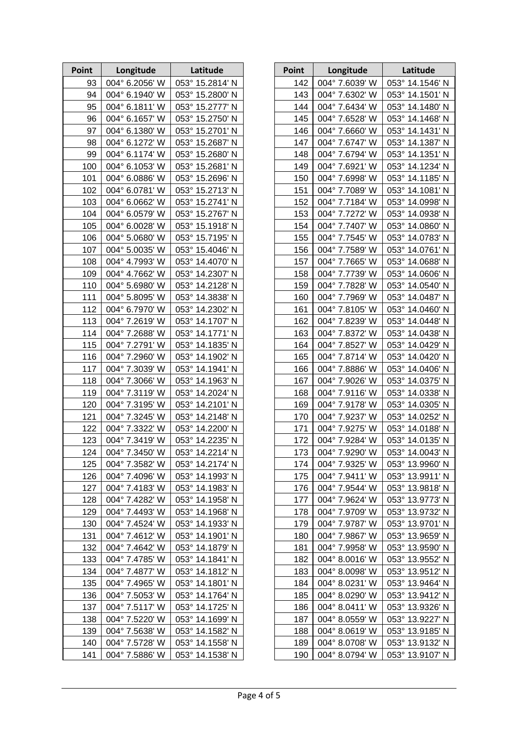| Point | Longitude      | Latitude        |
|-------|----------------|-----------------|
| 93    | 004° 6.2056' W | 053° 15.2814' N |
| 94    | 004° 6.1940' W | 053° 15.2800' N |
| 95    | 004° 6.1811' W | 053° 15.2777' N |
| 96    | 004° 6.1657' W | 053° 15.2750' N |
| 97    | 004° 6.1380' W | 053° 15.2701' N |
| 98    | 004° 6.1272' W | 053° 15.2687' N |
| 99    | 004° 6.1174' W | 053° 15.2680' N |
| 100   | 004° 6.1053' W | 053° 15.2681' N |
| 101   | 004° 6.0886' W | 053° 15.2696' N |
| 102   | 004° 6.0781' W | 053° 15.2713' N |
| 103   | 004° 6.0662' W | 053° 15.2741' N |
| 104   | 004° 6.0579' W | 053° 15.2767' N |
| 105   | 004° 6.0028' W | 053° 15.1918' N |
| 106   | 004° 5.0680' W | 053° 15.7195' N |
| 107   | 004° 5.0035' W | 053° 15.4046' N |
| 108   | 004° 4.7993' W | 053° 14.4070' N |
| 109   | 004° 4.7662' W | 053° 14.2307' N |
| 110   | 004° 5.6980' W | 053° 14.2128' N |
| 111   | 004° 5.8095' W | 053° 14.3838' N |
| 112   | 004° 6.7970' W | 053° 14.2302' N |
| 113   | 004° 7.2619' W | 053° 14.1707' N |
| 114   | 004° 7.2688' W | 053° 14.1771' N |
| 115   | 004° 7.2791' W | 053° 14.1835' N |
| 116   | 004° 7.2960' W | 053° 14.1902' N |
| 117   | 004° 7.3039' W | 053° 14.1941' N |
| 118   | 004° 7.3066' W | 053° 14.1963' N |
| 119   | 004° 7.3119' W | 053° 14.2024' N |
| 120   | 004° 7.3195' W | 053° 14.2101' N |
| 121   | 004° 7.3245' W | 053° 14.2148' N |
| 122   | 004° 7.3322' W | 053° 14.2200' N |
| 123   | 004° 7.3419' W | 053° 14.2235' N |
| 124   | 004° 7.3450' W | 053° 14.2214' N |
| 125   | 004° 7.3582' W | 053° 14.2174' N |
| 126   | 004° 7.4096' W | 053° 14.1993' N |
| 127   | 004° 7.4183' W | 053° 14.1983' N |
| 128   | 004° 7.4282' W | 053° 14.1958' N |
| 129   | 004° 7.4493' W | 053° 14.1968' N |
| 130   | 004° 7.4524' W | 053° 14.1933' N |
| 131   | 004° 7.4612' W | 053° 14.1901' N |
| 132   | 004° 7.4642' W | 053° 14.1879' N |
| 133   | 004° 7.4785' W | 053° 14.1841' N |
| 134   | 004° 7.4877' W | 053° 14.1812' N |
| 135   | 004° 7.4965' W | 053° 14.1801' N |
| 136   | 004° 7.5053' W | 053° 14.1764' N |
| 137   | 004° 7.5117' W | 053° 14.1725' N |
| 138   | 004° 7.5220' W | 053° 14.1699' N |
| 139   | 004° 7.5638' W | 053° 14.1582' N |
| 140   | 004° 7.5728' W | 053° 14.1558' N |
| 141   | 004° 7.5886' W | 053° 14.1538' N |

| Point      | Longitude                        | Latitude                           |
|------------|----------------------------------|------------------------------------|
| 142        | 004° 7.6039' W                   | 053° 14.1546' N                    |
| 143        | 004° 7.6302' W                   | 053° 14.1501' N                    |
| 144        | 004° 7.6434' W                   | 053° 14.1480' N                    |
| 145        | 004° 7.6528' W                   | 053° 14.1468' N                    |
| 146        | 004° 7.6660' W                   | 053° 14.1431' N                    |
| 147        | 004° 7.6747' W                   | 053° 14.1387' N                    |
| 148        | 004° 7.6794' W                   | 053° 14.1351' N                    |
| 149        | 004° 7.6921' W                   | 053° 14.1234' N                    |
| 150        | 004° 7.6998' W                   | 053° 14.1185' N                    |
| 151        | 004° 7.7089' W                   | 053° 14.1081' N                    |
| 152        | 004° 7.7184' W                   | 053° 14.0998' N                    |
| 153        | 004° 7.7272' W                   | 053° 14.0938' N                    |
| 154        | 004° 7.7407' W                   | 053° 14.0860' N                    |
| 155        | 004° 7.7545' W                   | 053° 14.0783' N                    |
| 156        | 004° 7.7589' W                   | 053° 14.0761' N                    |
| 157        | 004° 7.7665' W                   | 053° 14.0688' N                    |
| 158        | 004° 7.7739' W                   | 053° 14.0606' N                    |
| 159        | 004° 7.7828' W                   | 053° 14.0540' N                    |
| 160        | 004° 7.7969' W                   | 053° 14.0487' N                    |
| 161        | 004° 7.8105' W                   | 053° 14.0460' N                    |
| 162        | 004° 7.8239' W                   | 053° 14.0448' N                    |
| 163        | 004° 7.8372' W                   | 053° 14.0438' N                    |
| 164        | 004° 7.8527' W                   | 053° 14.0429' N                    |
| 165        | 004° 7.8714' W                   | 053° 14.0420' N                    |
| 166        | 004° 7.8886' W                   | 053° 14.0406' N                    |
| 167        | 004° 7.9026' W                   | 053° 14.0375' N                    |
| 168        | 004° 7.9116' W                   | 053° 14.0338' N                    |
| 169        | 004° 7.9178' W                   | 053° 14.0305' N                    |
| 170        | 004° 7.9237' W                   | 053° 14.0252' N                    |
| 171        | 004° 7.9275' W                   | 053° 14.0188' N                    |
| 172        | 004° 7.9284' W                   | 053° 14.0135' N                    |
| 173        | 004° 7.9290' W                   | 053° 14.0043' N                    |
| 174        | 004° 7.9325' W                   | 053° 13.9960' N                    |
| 175        | 004° 7.9411' W                   | 053° 13.9911' N                    |
| 176        | 004° 7.9544' W                   | 053° 13.9818' N                    |
| 177        | 004° 7.9624' W                   | 053° 13.9773' N                    |
| 178<br>179 | 004° 7.9709' W<br>004° 7.9787' W | 053° 13.9732' N<br>053° 13.9701' N |
| 180        | 004° 7.9867' W                   | 053° 13.9659' N                    |
| 181        | 004° 7.9958' W                   | 053° 13.9590' N                    |
| 182        | 004° 8.0016' W                   | 053° 13.9552' N                    |
| 183        | 004° 8.0098' W                   | 053° 13.9512' N                    |
| 184        | 004° 8.0231' W                   | 053° 13.9464' N                    |
| 185        | 004° 8.0290' W                   | 053° 13.9412' N                    |
| 186        | 004° 8.0411' W                   | 053° 13.9326' N                    |
| 187        | 004° 8.0559' W                   | 053° 13.9227' N                    |
| 188        | 004° 8.0619' W                   | 053° 13.9185' N                    |
| 189        | 004° 8.0708' W                   | 053° 13.9132' N                    |
| 190        | 004° 8.0794' W                   | 053° 13.9107' N                    |